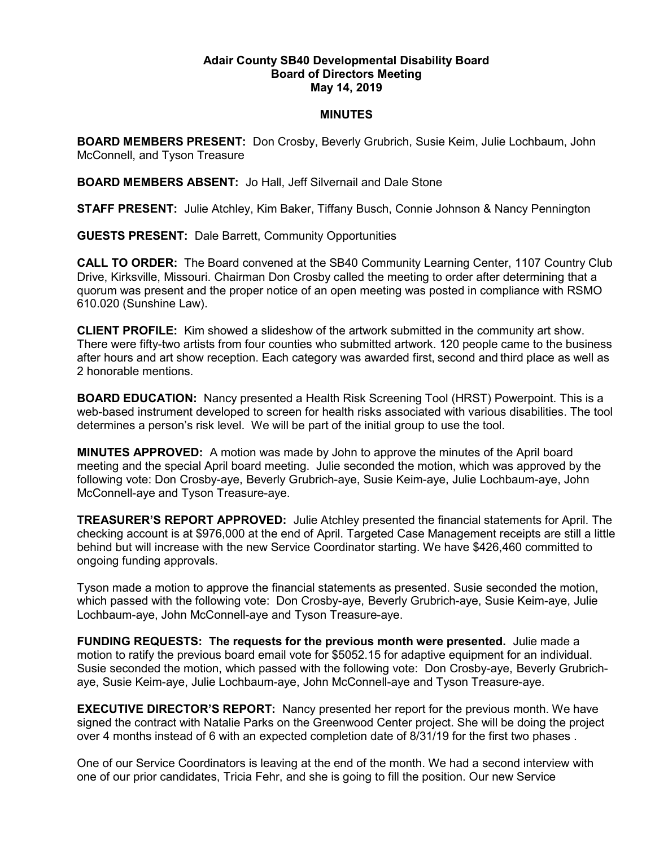## Adair County SB40 Developmental Disability Board Board of Directors Meeting May 14, 2019

## **MINUTES**

BOARD MEMBERS PRESENT: Don Crosby, Beverly Grubrich, Susie Keim, Julie Lochbaum, John McConnell, and Tyson Treasure

BOARD MEMBERS ABSENT: Jo Hall, Jeff Silvernail and Dale Stone

STAFF PRESENT: Julie Atchley, Kim Baker, Tiffany Busch, Connie Johnson & Nancy Pennington

GUESTS PRESENT: Dale Barrett, Community Opportunities

CALL TO ORDER: The Board convened at the SB40 Community Learning Center, 1107 Country Club Drive, Kirksville, Missouri. Chairman Don Crosby called the meeting to order after determining that a quorum was present and the proper notice of an open meeting was posted in compliance with RSMO 610.020 (Sunshine Law).

CLIENT PROFILE: Kim showed a slideshow of the artwork submitted in the community art show. There were fifty-two artists from four counties who submitted artwork. 120 people came to the business after hours and art show reception. Each category was awarded first, second and third place as well as 2 honorable mentions.

BOARD EDUCATION: Nancy presented a Health Risk Screening Tool (HRST) Powerpoint. This is a web-based instrument developed to screen for health risks associated with various disabilities. The tool determines a person's risk level. We will be part of the initial group to use the tool.

MINUTES APPROVED: A motion was made by John to approve the minutes of the April board meeting and the special April board meeting. Julie seconded the motion, which was approved by the following vote: Don Crosby-aye, Beverly Grubrich-aye, Susie Keim-aye, Julie Lochbaum-aye, John McConnell-aye and Tyson Treasure-aye.

TREASURER'S REPORT APPROVED: Julie Atchley presented the financial statements for April. The checking account is at \$976,000 at the end of April. Targeted Case Management receipts are still a little behind but will increase with the new Service Coordinator starting. We have \$426,460 committed to ongoing funding approvals.

Tyson made a motion to approve the financial statements as presented. Susie seconded the motion, which passed with the following vote: Don Crosby-aye, Beverly Grubrich-aye, Susie Keim-aye, Julie Lochbaum-aye, John McConnell-aye and Tyson Treasure-aye.

FUNDING REQUESTS: The requests for the previous month were presented. Julie made a motion to ratify the previous board email vote for \$5052.15 for adaptive equipment for an individual. Susie seconded the motion, which passed with the following vote: Don Crosby-aye, Beverly Grubrichaye, Susie Keim-aye, Julie Lochbaum-aye, John McConnell-aye and Tyson Treasure-aye.

**EXECUTIVE DIRECTOR'S REPORT:** Nancy presented her report for the previous month. We have signed the contract with Natalie Parks on the Greenwood Center project. She will be doing the project over 4 months instead of 6 with an expected completion date of 8/31/19 for the first two phases .

One of our Service Coordinators is leaving at the end of the month. We had a second interview with one of our prior candidates, Tricia Fehr, and she is going to fill the position. Our new Service